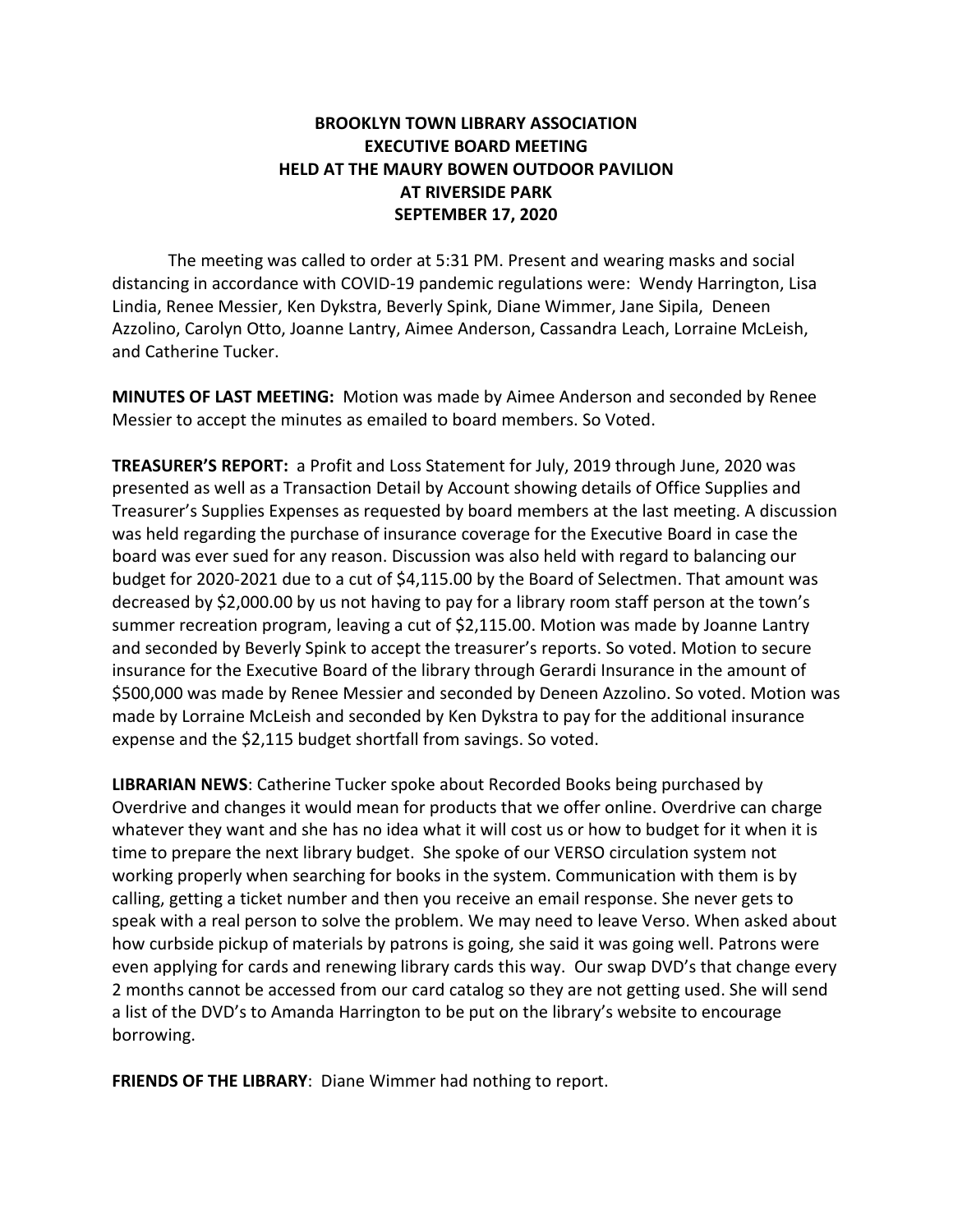## **BROOKLYN TOWN LIBRARY ASSOCIATION EXECUTIVE BOARD MEETING HELD AT THE MAURY BOWEN OUTDOOR PAVILION AT RIVERSIDE PARK SEPTEMBER 17, 2020**

The meeting was called to order at 5:31 PM. Present and wearing masks and social distancing in accordance with COVID-19 pandemic regulations were: Wendy Harrington, Lisa Lindia, Renee Messier, Ken Dykstra, Beverly Spink, Diane Wimmer, Jane Sipila, Deneen Azzolino, Carolyn Otto, Joanne Lantry, Aimee Anderson, Cassandra Leach, Lorraine McLeish, and Catherine Tucker.

**MINUTES OF LAST MEETING:** Motion was made by Aimee Anderson and seconded by Renee Messier to accept the minutes as emailed to board members. So Voted.

**TREASURER'S REPORT:** a Profit and Loss Statement for July, 2019 through June, 2020 was presented as well as a Transaction Detail by Account showing details of Office Supplies and Treasurer's Supplies Expenses as requested by board members at the last meeting. A discussion was held regarding the purchase of insurance coverage for the Executive Board in case the board was ever sued for any reason. Discussion was also held with regard to balancing our budget for 2020-2021 due to a cut of \$4,115.00 by the Board of Selectmen. That amount was decreased by \$2,000.00 by us not having to pay for a library room staff person at the town's summer recreation program, leaving a cut of \$2,115.00. Motion was made by Joanne Lantry and seconded by Beverly Spink to accept the treasurer's reports. So voted. Motion to secure insurance for the Executive Board of the library through Gerardi Insurance in the amount of \$500,000 was made by Renee Messier and seconded by Deneen Azzolino. So voted. Motion was made by Lorraine McLeish and seconded by Ken Dykstra to pay for the additional insurance expense and the \$2,115 budget shortfall from savings. So voted.

**LIBRARIAN NEWS**: Catherine Tucker spoke about Recorded Books being purchased by Overdrive and changes it would mean for products that we offer online. Overdrive can charge whatever they want and she has no idea what it will cost us or how to budget for it when it is time to prepare the next library budget. She spoke of our VERSO circulation system not working properly when searching for books in the system. Communication with them is by calling, getting a ticket number and then you receive an email response. She never gets to speak with a real person to solve the problem. We may need to leave Verso. When asked about how curbside pickup of materials by patrons is going, she said it was going well. Patrons were even applying for cards and renewing library cards this way. Our swap DVD's that change every 2 months cannot be accessed from our card catalog so they are not getting used. She will send a list of the DVD's to Amanda Harrington to be put on the library's website to encourage borrowing.

**FRIENDS OF THE LIBRARY**: Diane Wimmer had nothing to report.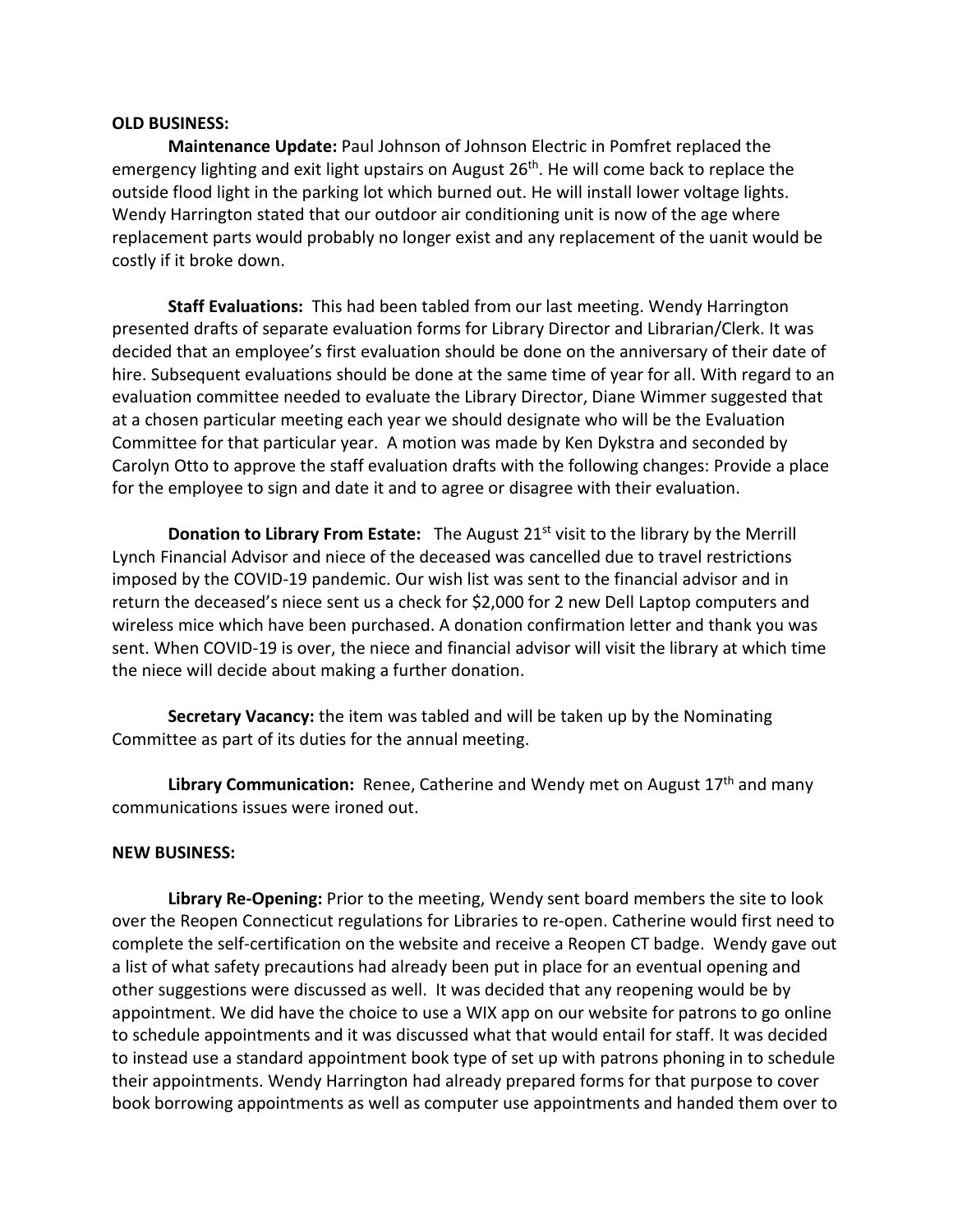## **OLD BUSINESS:**

**Maintenance Update:** Paul Johnson of Johnson Electric in Pomfret replaced the emergency lighting and exit light upstairs on August 26<sup>th</sup>. He will come back to replace the outside flood light in the parking lot which burned out. He will install lower voltage lights. Wendy Harrington stated that our outdoor air conditioning unit is now of the age where replacement parts would probably no longer exist and any replacement of the uanit would be costly if it broke down.

**Staff Evaluations:** This had been tabled from our last meeting. Wendy Harrington presented drafts of separate evaluation forms for Library Director and Librarian/Clerk. It was decided that an employee's first evaluation should be done on the anniversary of their date of hire. Subsequent evaluations should be done at the same time of year for all. With regard to an evaluation committee needed to evaluate the Library Director, Diane Wimmer suggested that at a chosen particular meeting each year we should designate who will be the Evaluation Committee for that particular year. A motion was made by Ken Dykstra and seconded by Carolyn Otto to approve the staff evaluation drafts with the following changes: Provide a place for the employee to sign and date it and to agree or disagree with their evaluation.

**Donation to Library From Estate:** The August 21<sup>st</sup> visit to the library by the Merrill Lynch Financial Advisor and niece of the deceased was cancelled due to travel restrictions imposed by the COVID-19 pandemic. Our wish list was sent to the financial advisor and in return the deceased's niece sent us a check for \$2,000 for 2 new Dell Laptop computers and wireless mice which have been purchased. A donation confirmation letter and thank you was sent. When COVID-19 is over, the niece and financial advisor will visit the library at which time the niece will decide about making a further donation.

**Secretary Vacancy:** the item was tabled and will be taken up by the Nominating Committee as part of its duties for the annual meeting.

Library Communication: Renee, Catherine and Wendy met on August 17<sup>th</sup> and many communications issues were ironed out.

## **NEW BUSINESS:**

**Library Re-Opening:** Prior to the meeting, Wendy sent board members the site to look over the Reopen Connecticut regulations for Libraries to re-open. Catherine would first need to complete the self-certification on the website and receive a Reopen CT badge. Wendy gave out a list of what safety precautions had already been put in place for an eventual opening and other suggestions were discussed as well. It was decided that any reopening would be by appointment. We did have the choice to use a WIX app on our website for patrons to go online to schedule appointments and it was discussed what that would entail for staff. It was decided to instead use a standard appointment book type of set up with patrons phoning in to schedule their appointments. Wendy Harrington had already prepared forms for that purpose to cover book borrowing appointments as well as computer use appointments and handed them over to